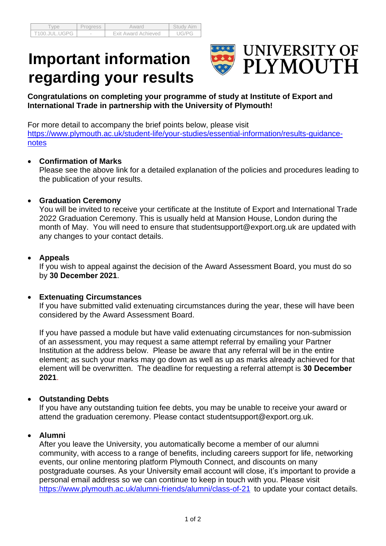|               | Progress | Award               | <b>Study Aim</b> |
|---------------|----------|---------------------|------------------|
| T100.JUL.UGPG | $\sim$   | Exit Award Achieved | JG/PG            |

**Important information regarding your results**



**Congratulations on completing your programme of study at Institute of Export and International Trade in partnership with the University of Plymouth!**

For more detail to accompany the brief points below, please visit [https://www.plymouth.ac.uk/student-life/your-studies/essential-information/results-guidance](https://www.plymouth.ac.uk/student-life/your-studies/essential-information/results-guidance-notes)[notes](https://www.plymouth.ac.uk/student-life/your-studies/essential-information/results-guidance-notes)

# • **Confirmation of Marks**

Please see the above link for a detailed explanation of the policies and procedures leading to the publication of your results.

# • **Graduation Ceremony**

You will be invited to receive your certificate at the Institute of Export and International Trade 2022 Graduation Ceremony. This is usually held at Mansion House, London during the month of May. You will need to ensure that studentsupport@export.org.uk are updated with any changes to your contact details.

# • **Appeals**

If you wish to appeal against the decision of the Award Assessment Board, you must do so by **30 December 2021**.

### • **Extenuating Circumstances**

If you have submitted valid extenuating circumstances during the year, these will have been considered by the Award Assessment Board.

If you have passed a module but have valid extenuating circumstances for non-submission of an assessment, you may request a same attempt referral by emailing your Partner Institution at the address below. Please be aware that any referral will be in the entire element; as such your marks may go down as well as up as marks already achieved for that element will be overwritten. The deadline for requesting a referral attempt is **30 December 2021**.

# **Outstanding Debts**

If you have any outstanding tuition fee debts, you may be unable to receive your award or attend the graduation ceremony. Please contact studentsupport@export.org.uk.

### **Alumni**

After you leave the University, you automatically become a member of our alumni community, with access to a range of benefits, including careers support for life, networking events, our online mentoring platform Plymouth Connect, and discounts on many postgraduate courses. As your University email account will close, it's important to provide a personal email address so we can continue to keep in touch with you. Please visit <https://www.plymouth.ac.uk/alumni-friends/alumni/class-of-21> to update your contact details.